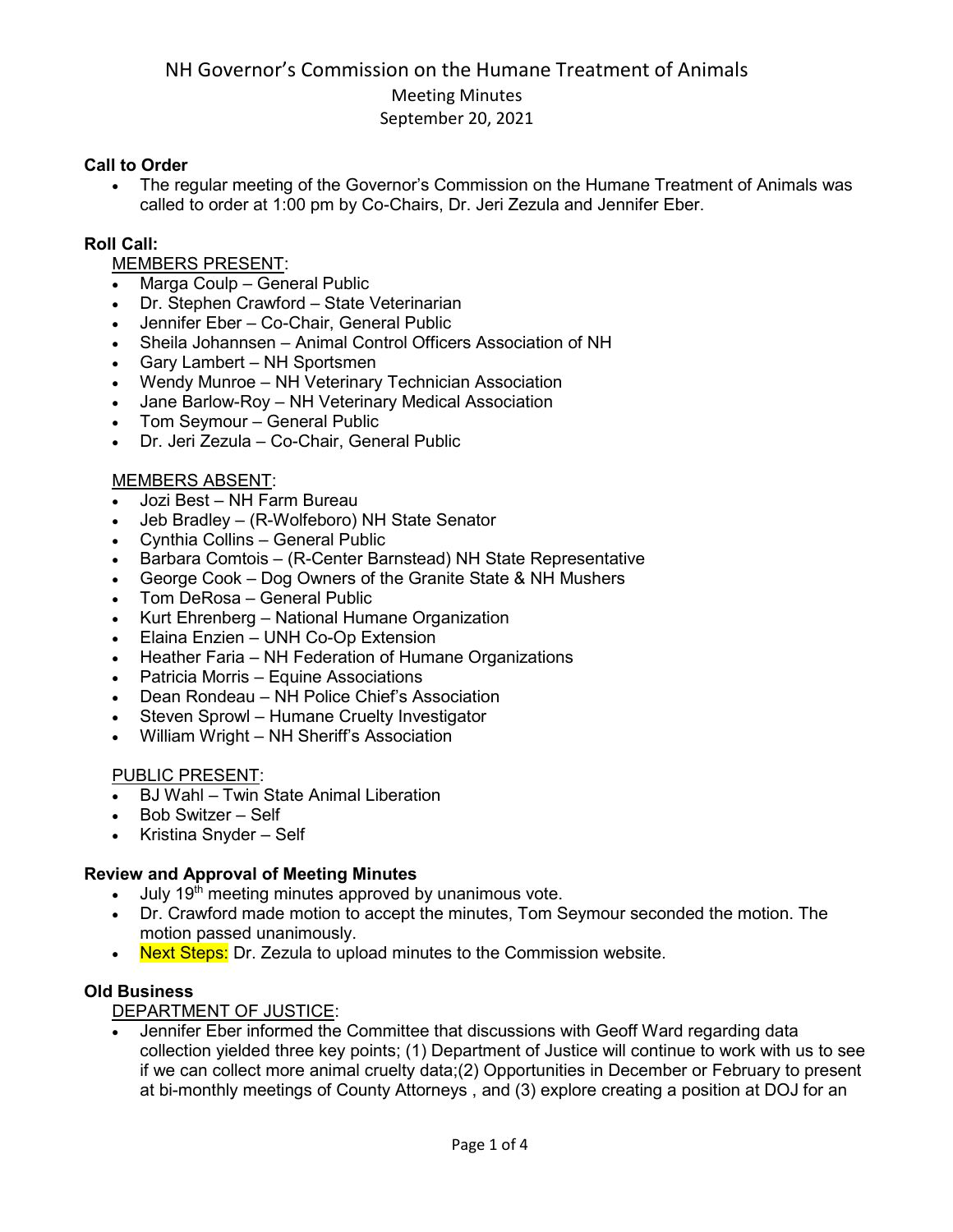#### **Call to Order**

• The regular meeting of the Governor's Commission on the Humane Treatment of Animals was called to order at 1:00 pm by Co-Chairs, Dr. Jeri Zezula and Jennifer Eber.

#### **Roll Call:**

## MEMBERS PRESENT:

- Marga Coulp General Public
- Dr. Stephen Crawford State Veterinarian
- Jennifer Eber Co-Chair, General Public
- Sheila Johannsen Animal Control Officers Association of NH
- Gary Lambert NH Sportsmen
- Wendy Munroe NH Veterinary Technician Association
- Jane Barlow-Roy NH Veterinary Medical Association
- Tom Seymour General Public
- Dr. Jeri Zezula Co-Chair, General Public

#### MEMBERS ABSENT:

- Jozi Best NH Farm Bureau
- Jeb Bradley (R-Wolfeboro) NH State Senator
- Cynthia Collins General Public
- Barbara Comtois (R-Center Barnstead) NH State Representative
- George Cook Dog Owners of the Granite State & NH Mushers
- Tom DeRosa General Public
- Kurt Ehrenberg National Humane Organization
- Elaina Enzien UNH Co-Op Extension
- Heather Faria NH Federation of Humane Organizations
- Patricia Morris Equine Associations
- Dean Rondeau NH Police Chief's Association
- Steven Sprowl Humane Cruelty Investigator
- William Wright NH Sheriff's Association

#### PUBLIC PRESENT:

- BJ Wahl Twin State Animal Liberation
- Bob Switzer Self
- Kristina Snyder Self

#### **Review and Approval of Meeting Minutes**

- July 19<sup>th</sup> meeting minutes approved by unanimous vote.
- Dr. Crawford made motion to accept the minutes, Tom Seymour seconded the motion. The motion passed unanimously.
- Next Steps: Dr. Zezula to upload minutes to the Commission website.

## **Old Business**

#### DEPARTMENT OF JUSTICE:

• Jennifer Eber informed the Committee that discussions with Geoff Ward regarding data collection yielded three key points; (1) Department of Justice will continue to work with us to see if we can collect more animal cruelty data;(2) Opportunities in December or February to present at bi-monthly meetings of County Attorneys , and (3) explore creating a position at DOJ for an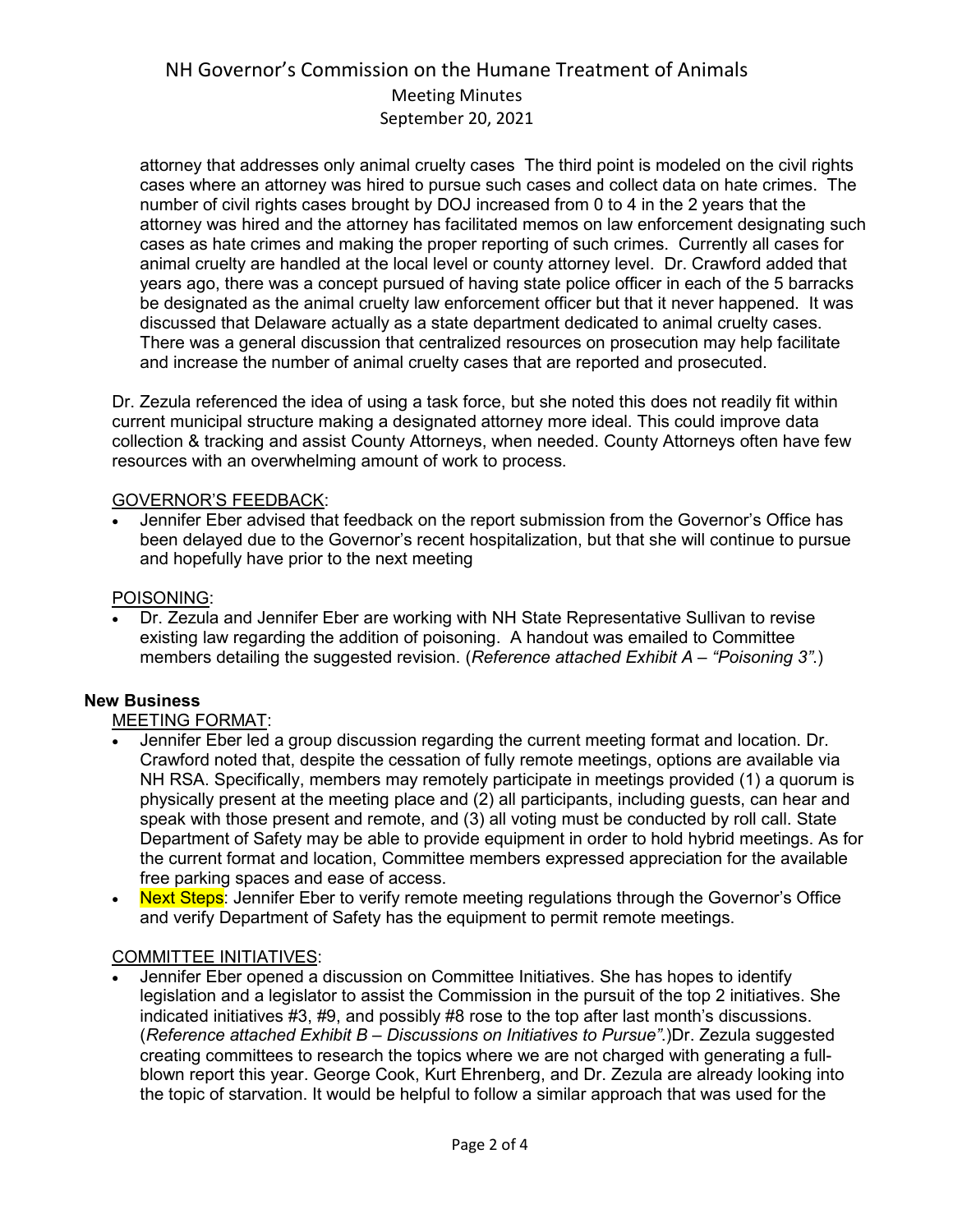attorney that addresses only animal cruelty cases The third point is modeled on the civil rights cases where an attorney was hired to pursue such cases and collect data on hate crimes. The number of civil rights cases brought by DOJ increased from 0 to 4 in the 2 years that the attorney was hired and the attorney has facilitated memos on law enforcement designating such cases as hate crimes and making the proper reporting of such crimes. Currently all cases for animal cruelty are handled at the local level or county attorney level. Dr. Crawford added that years ago, there was a concept pursued of having state police officer in each of the 5 barracks be designated as the animal cruelty law enforcement officer but that it never happened. It was discussed that Delaware actually as a state department dedicated to animal cruelty cases. There was a general discussion that centralized resources on prosecution may help facilitate and increase the number of animal cruelty cases that are reported and prosecuted.

Dr. Zezula referenced the idea of using a task force, but she noted this does not readily fit within current municipal structure making a designated attorney more ideal. This could improve data collection & tracking and assist County Attorneys, when needed. County Attorneys often have few resources with an overwhelming amount of work to process.

#### GOVERNOR'S FEEDBACK:

• Jennifer Eber advised that feedback on the report submission from the Governor's Office has been delayed due to the Governor's recent hospitalization, but that she will continue to pursue and hopefully have prior to the next meeting

## POISONING:

• Dr. Zezula and Jennifer Eber are working with NH State Representative Sullivan to revise existing law regarding the addition of poisoning. A handout was emailed to Committee members detailing the suggested revision. (*Reference attached Exhibit A – "Poisoning 3"*.)

#### **New Business**

#### MEETING FORMAT:

- Jennifer Eber led a group discussion regarding the current meeting format and location. Dr. Crawford noted that, despite the cessation of fully remote meetings, options are available via NH RSA. Specifically, members may remotely participate in meetings provided (1) a quorum is physically present at the meeting place and (2) all participants, including guests, can hear and speak with those present and remote, and (3) all voting must be conducted by roll call. State Department of Safety may be able to provide equipment in order to hold hybrid meetings. As for the current format and location, Committee members expressed appreciation for the available free parking spaces and ease of access.
- Next Steps: Jennifer Eber to verify remote meeting regulations through the Governor's Office and verify Department of Safety has the equipment to permit remote meetings.

#### COMMITTEE INITIATIVES:

• Jennifer Eber opened a discussion on Committee Initiatives. She has hopes to identify legislation and a legislator to assist the Commission in the pursuit of the top 2 initiatives. She indicated initiatives #3, #9, and possibly #8 rose to the top after last month's discussions. (*Reference attached Exhibit B – Discussions on Initiatives to Pursue"*.)Dr. Zezula suggested creating committees to research the topics where we are not charged with generating a fullblown report this year. George Cook, Kurt Ehrenberg, and Dr. Zezula are already looking into the topic of starvation. It would be helpful to follow a similar approach that was used for the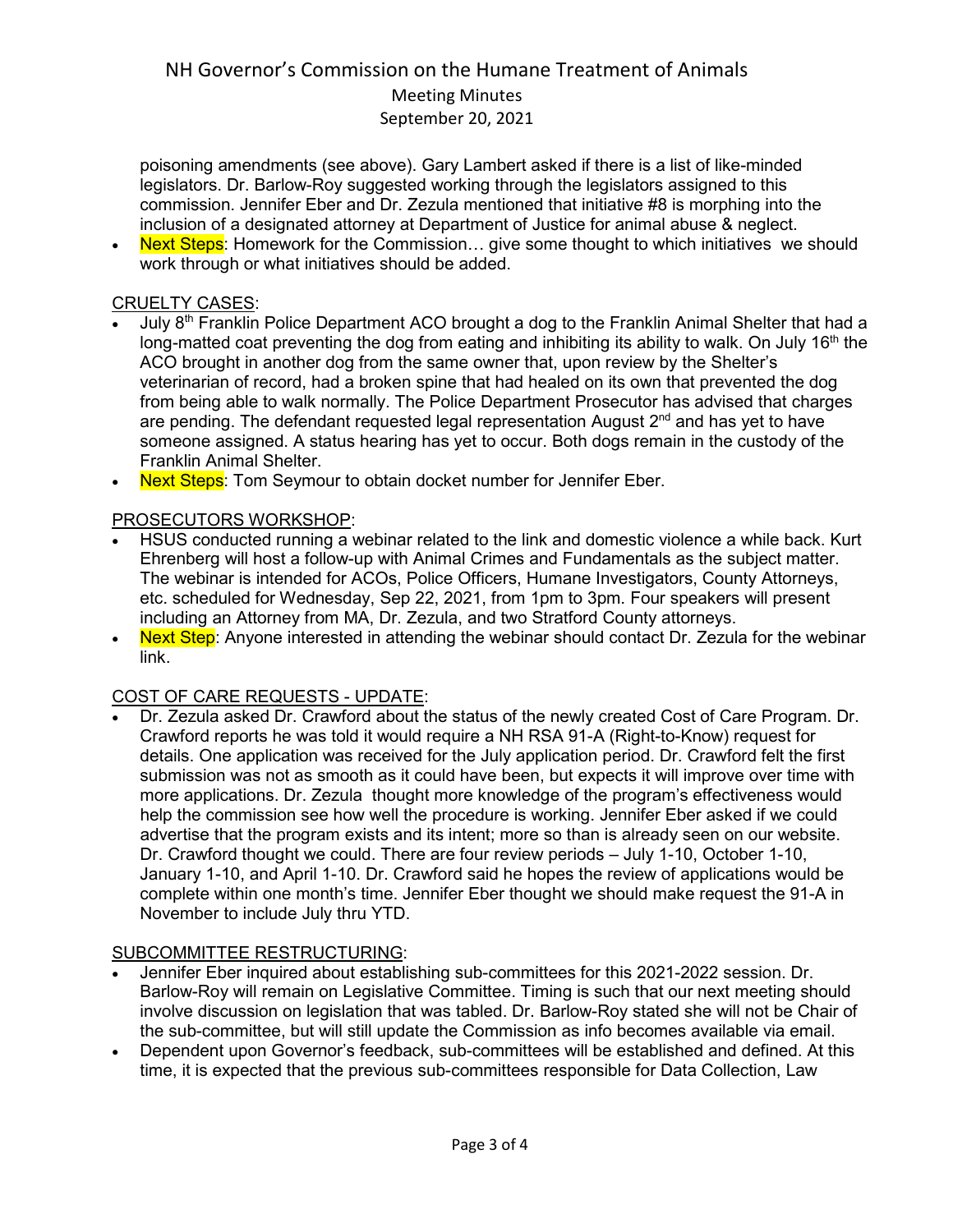poisoning amendments (see above). Gary Lambert asked if there is a list of like-minded legislators. Dr. Barlow-Roy suggested working through the legislators assigned to this commission. Jennifer Eber and Dr. Zezula mentioned that initiative #8 is morphing into the inclusion of a designated attorney at Department of Justice for animal abuse & neglect.

**Next Steps:** Homework for the Commission... give some thought to which initiatives we should work through or what initiatives should be added.

## CRUELTY CASES:

- July 8<sup>th</sup> Franklin Police Department ACO brought a dog to the Franklin Animal Shelter that had a long-matted coat preventing the dog from eating and inhibiting its ability to walk. On July 16<sup>th</sup> the ACO brought in another dog from the same owner that, upon review by the Shelter's veterinarian of record, had a broken spine that had healed on its own that prevented the dog from being able to walk normally. The Police Department Prosecutor has advised that charges are pending. The defendant requested legal representation August  $2<sup>nd</sup>$  and has yet to have someone assigned. A status hearing has yet to occur. Both dogs remain in the custody of the Franklin Animal Shelter.
- Next Steps: Tom Seymour to obtain docket number for Jennifer Eber.

## PROSECUTORS WORKSHOP:

- HSUS conducted running a webinar related to the link and domestic violence a while back. Kurt Ehrenberg will host a follow-up with Animal Crimes and Fundamentals as the subject matter. The webinar is intended for ACOs, Police Officers, Humane Investigators, County Attorneys, etc. scheduled for Wednesday, Sep 22, 2021, from 1pm to 3pm. Four speakers will present including an Attorney from MA, Dr. Zezula, and two Stratford County attorneys.
- **Next Step:** Anyone interested in attending the webinar should contact Dr. Zezula for the webinar link.

## COST OF CARE REQUESTS - UPDATE:

• Dr. Zezula asked Dr. Crawford about the status of the newly created Cost of Care Program. Dr. Crawford reports he was told it would require a NH RSA 91-A (Right-to-Know) request for details. One application was received for the July application period. Dr. Crawford felt the first submission was not as smooth as it could have been, but expects it will improve over time with more applications. Dr. Zezula thought more knowledge of the program's effectiveness would help the commission see how well the procedure is working. Jennifer Eber asked if we could advertise that the program exists and its intent; more so than is already seen on our website. Dr. Crawford thought we could. There are four review periods – July 1-10, October 1-10, January 1-10, and April 1-10. Dr. Crawford said he hopes the review of applications would be complete within one month's time. Jennifer Eber thought we should make request the 91-A in November to include July thru YTD.

## SUBCOMMITTEE RESTRUCTURING:

- Jennifer Eber inquired about establishing sub-committees for this 2021-2022 session. Dr. Barlow-Roy will remain on Legislative Committee. Timing is such that our next meeting should involve discussion on legislation that was tabled. Dr. Barlow-Roy stated she will not be Chair of the sub-committee, but will still update the Commission as info becomes available via email.
- Dependent upon Governor's feedback, sub-committees will be established and defined. At this time, it is expected that the previous sub-committees responsible for Data Collection, Law